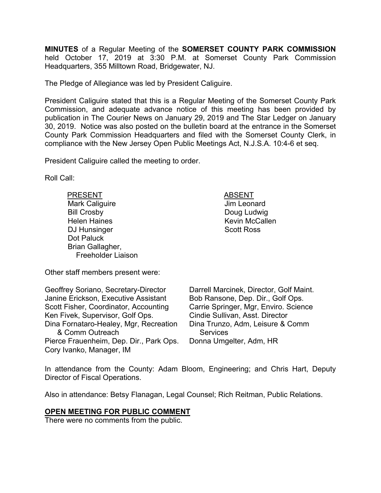**MINUTES** of a Regular Meeting of the **SOMERSET COUNTY PARK COMMISSION** held October 17, 2019 at 3:30 P.M. at Somerset County Park Commission Headquarters, 355 Milltown Road, Bridgewater, NJ.

The Pledge of Allegiance was led by President Caliguire.

President Caliguire stated that this is a Regular Meeting of the Somerset County Park Commission, and adequate advance notice of this meeting has been provided by publication in The Courier News on January 29, 2019 and The Star Ledger on January 30, 2019. Notice was also posted on the bulletin board at the entrance in the Somerset County Park Commission Headquarters and filed with the Somerset County Clerk, in compliance with the New Jersey Open Public Meetings Act, N.J.S.A. 10:4-6 et seq.

President Caliguire called the meeting to order.

Roll Call:

PRESENT ABSENT Mark Caliguire **Mark Caliguire Jim Leonard** Bill Crosby **Doug Ludwig** Helen Haines **Kevin McCallen** DJ Hunsinger Scott Ross Dot Paluck Brian Gallagher, Freeholder Liaison

Other staff members present were:

Geoffrey Soriano, Secretary-Director Janine Erickson, Executive Assistant Scott Fisher, Coordinator, Accounting Ken Fivek, Supervisor, Golf Ops. Dina Fornataro-Healey, Mgr, Recreation & Comm Outreach Pierce Frauenheim, Dep. Dir., Park Ops. Cory Ivanko, Manager, IM

Darrell Marcinek, Director, Golf Maint. Bob Ransone, Dep. Dir., Golf Ops. Carrie Springer, Mgr, Enviro. Science Cindie Sullivan, Asst. Director Dina Trunzo, Adm, Leisure & Comm **Services** Donna Umgelter, Adm, HR

In attendance from the County: Adam Bloom, Engineering; and Chris Hart, Deputy Director of Fiscal Operations.

Also in attendance: Betsy Flanagan, Legal Counsel; Rich Reitman, Public Relations.

## **OPEN MEETING FOR PUBLIC COMMENT**

There were no comments from the public.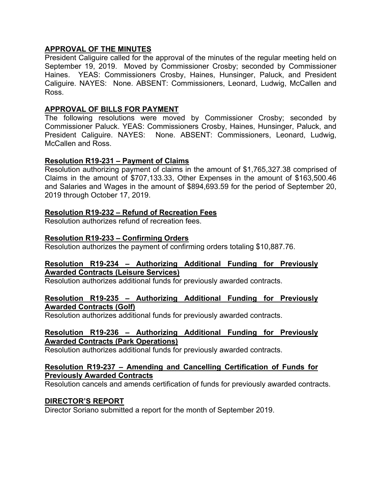# **APPROVAL OF THE MINUTES**

President Caliguire called for the approval of the minutes of the regular meeting held on September 19, 2019. Moved by Commissioner Crosby; seconded by Commissioner Haines. YEAS: Commissioners Crosby, Haines, Hunsinger, Paluck, and President Caliguire. NAYES: None. ABSENT: Commissioners, Leonard, Ludwig, McCallen and Ross.

## **APPROVAL OF BILLS FOR PAYMENT**

The following resolutions were moved by Commissioner Crosby; seconded by Commissioner Paluck. YEAS: Commissioners Crosby, Haines, Hunsinger, Paluck, and President Caliguire. NAYES: None. ABSENT: Commissioners, Leonard, Ludwig, McCallen and Ross.

# **Resolution R19-231 – Payment of Claims**

Resolution authorizing payment of claims in the amount of \$1,765,327.38 comprised of Claims in the amount of \$707,133.33, Other Expenses in the amount of \$163,500.46 and Salaries and Wages in the amount of \$894,693.59 for the period of September 20, 2019 through October 17, 2019.

# **Resolution R19-232 – Refund of Recreation Fees**

Resolution authorizes refund of recreation fees.

# **Resolution R19-233 – Confirming Orders**

Resolution authorizes the payment of confirming orders totaling \$10,887.76.

## **Resolution R19-234 – Authorizing Additional Funding for Previously Awarded Contracts (Leisure Services)**

Resolution authorizes additional funds for previously awarded contracts.

## **Resolution R19-235 – Authorizing Additional Funding for Previously Awarded Contracts (Golf)**

Resolution authorizes additional funds for previously awarded contracts.

## **Resolution R19-236 – Authorizing Additional Funding for Previously Awarded Contracts (Park Operations)**

Resolution authorizes additional funds for previously awarded contracts.

#### **Resolution R19-237 – Amending and Cancelling Certification of Funds for Previously Awarded Contracts**

Resolution cancels and amends certification of funds for previously awarded contracts.

## **DIRECTOR'S REPORT**

Director Soriano submitted a report for the month of September 2019.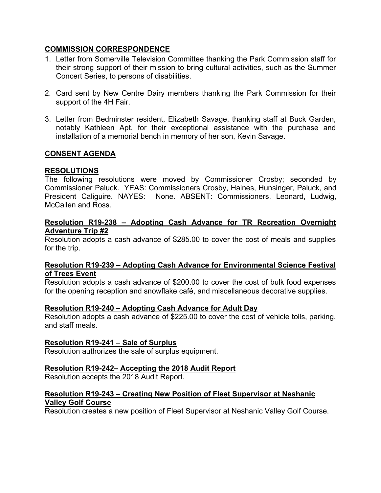# **COMMISSION CORRESPONDENCE**

- 1. Letter from Somerville Television Committee thanking the Park Commission staff for their strong support of their mission to bring cultural activities, such as the Summer Concert Series, to persons of disabilities.
- 2. Card sent by New Centre Dairy members thanking the Park Commission for their support of the 4H Fair.
- 3. Letter from Bedminster resident, Elizabeth Savage, thanking staff at Buck Garden, notably Kathleen Apt, for their exceptional assistance with the purchase and installation of a memorial bench in memory of her son, Kevin Savage.

# **CONSENT AGENDA**

## **RESOLUTIONS**

The following resolutions were moved by Commissioner Crosby; seconded by Commissioner Paluck. YEAS: Commissioners Crosby, Haines, Hunsinger, Paluck, and President Caliguire. NAYES: None. ABSENT: Commissioners, Leonard, Ludwig, McCallen and Ross.

#### **Resolution R19-238 – Adopting Cash Advance for TR Recreation Overnight Adventure Trip #2**

Resolution adopts a cash advance of \$285.00 to cover the cost of meals and supplies for the trip.

## **Resolution R19-239 – Adopting Cash Advance for Environmental Science Festival of Trees Event**

Resolution adopts a cash advance of \$200.00 to cover the cost of bulk food expenses for the opening reception and snowflake café, and miscellaneous decorative supplies.

#### **Resolution R19-240 – Adopting Cash Advance for Adult Day**

Resolution adopts a cash advance of \$225.00 to cover the cost of vehicle tolls, parking, and staff meals.

#### **Resolution R19-241 – Sale of Surplus**

Resolution authorizes the sale of surplus equipment.

## **Resolution R19-242– Accepting the 2018 Audit Report**

Resolution accepts the 2018 Audit Report.

## **Resolution R19-243 – Creating New Position of Fleet Supervisor at Neshanic Valley Golf Course**

Resolution creates a new position of Fleet Supervisor at Neshanic Valley Golf Course.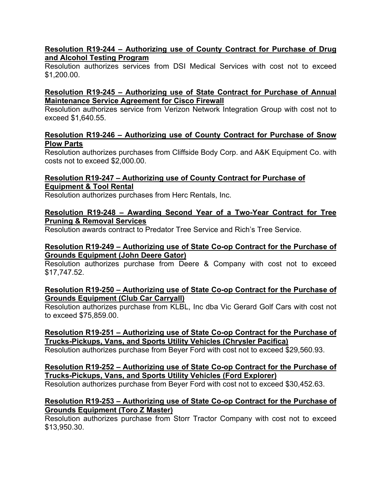# **Resolution R19-244 – Authorizing use of County Contract for Purchase of Drug and Alcohol Testing Program**

Resolution authorizes services from DSI Medical Services with cost not to exceed \$1,200.00.

## **Resolution R19-245 – Authorizing use of State Contract for Purchase of Annual Maintenance Service Agreement for Cisco Firewall**

Resolution authorizes service from Verizon Network Integration Group with cost not to exceed \$1,640.55.

## **Resolution R19-246 – Authorizing use of County Contract for Purchase of Snow Plow Parts**

Resolution authorizes purchases from Cliffside Body Corp. and A&K Equipment Co. with costs not to exceed \$2,000.00.

## **Resolution R19-247 – Authorizing use of County Contract for Purchase of Equipment & Tool Rental**

Resolution authorizes purchases from Herc Rentals, Inc.

# **Resolution R19-248 – Awarding Second Year of a Two-Year Contract for Tree Pruning & Removal Services**

Resolution awards contract to Predator Tree Service and Rich's Tree Service.

## **Resolution R19-249 – Authorizing use of State Co-op Contract for the Purchase of Grounds Equipment (John Deere Gator)**

Resolution authorizes purchase from Deere & Company with cost not to exceed \$17,747.52.

## **Resolution R19-250 – Authorizing use of State Co-op Contract for the Purchase of Grounds Equipment (Club Car Carryall)**

Resolution authorizes purchase from KLBL, Inc dba Vic Gerard Golf Cars with cost not to exceed \$75,859.00.

## **Resolution R19-251 – Authorizing use of State Co-op Contract for the Purchase of Trucks-Pickups, Vans, and Sports Utility Vehicles (Chrysler Pacifica)**

Resolution authorizes purchase from Beyer Ford with cost not to exceed \$29,560.93.

# **Resolution R19-252 – Authorizing use of State Co-op Contract for the Purchase of Trucks-Pickups, Vans, and Sports Utility Vehicles (Ford Explorer)**

Resolution authorizes purchase from Beyer Ford with cost not to exceed \$30,452.63.

# **Resolution R19-253 – Authorizing use of State Co-op Contract for the Purchase of Grounds Equipment (Toro Z Master)**

Resolution authorizes purchase from Storr Tractor Company with cost not to exceed \$13,950.30.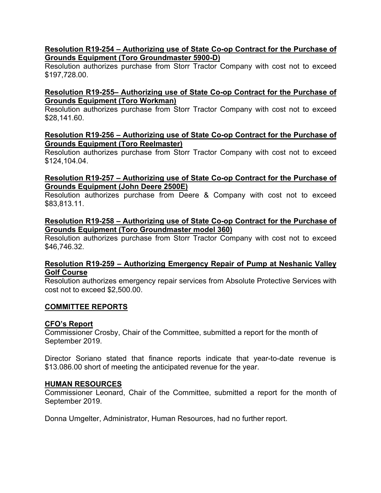## **Resolution R19-254 – Authorizing use of State Co-op Contract for the Purchase of Grounds Equipment (Toro Groundmaster 5900-D)**

Resolution authorizes purchase from Storr Tractor Company with cost not to exceed \$197,728.00.

## **Resolution R19-255– Authorizing use of State Co-op Contract for the Purchase of Grounds Equipment (Toro Workman)**

Resolution authorizes purchase from Storr Tractor Company with cost not to exceed \$28,141.60.

#### **Resolution R19-256 – Authorizing use of State Co-op Contract for the Purchase of Grounds Equipment (Toro Reelmaster)**

Resolution authorizes purchase from Storr Tractor Company with cost not to exceed \$124,104.04.

#### **Resolution R19-257 – Authorizing use of State Co-op Contract for the Purchase of Grounds Equipment (John Deere 2500E)**

Resolution authorizes purchase from Deere & Company with cost not to exceed \$83,813.11.

#### **Resolution R19-258 – Authorizing use of State Co-op Contract for the Purchase of Grounds Equipment (Toro Groundmaster model 360)**

Resolution authorizes purchase from Storr Tractor Company with cost not to exceed \$46,746.32.

## **Resolution R19-259 – Authorizing Emergency Repair of Pump at Neshanic Valley Golf Course**

Resolution authorizes emergency repair services from Absolute Protective Services with cost not to exceed \$2,500.00.

## **COMMITTEE REPORTS**

## **CFO's Report**

Commissioner Crosby, Chair of the Committee, submitted a report for the month of September 2019.

Director Soriano stated that finance reports indicate that year-to-date revenue is \$13.086.00 short of meeting the anticipated revenue for the year.

#### **HUMAN RESOURCES**

Commissioner Leonard, Chair of the Committee, submitted a report for the month of September 2019.

Donna Umgelter, Administrator, Human Resources, had no further report.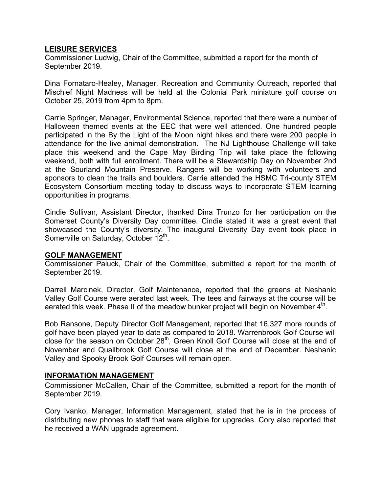#### **LEISURE SERVICES**

Commissioner Ludwig, Chair of the Committee, submitted a report for the month of September 2019.

Dina Fornataro-Healey, Manager, Recreation and Community Outreach, reported that Mischief Night Madness will be held at the Colonial Park miniature golf course on October 25, 2019 from 4pm to 8pm.

Carrie Springer, Manager, Environmental Science, reported that there were a number of Halloween themed events at the EEC that were well attended. One hundred people participated in the By the Light of the Moon night hikes and there were 200 people in attendance for the live animal demonstration. The NJ Lighthouse Challenge will take place this weekend and the Cape May Birding Trip will take place the following weekend, both with full enrollment. There will be a Stewardship Day on November 2nd at the Sourland Mountain Preserve. Rangers will be working with volunteers and sponsors to clean the trails and boulders. Carrie attended the HSMC Tri-county STEM Ecosystem Consortium meeting today to discuss ways to incorporate STEM learning opportunities in programs.

Cindie Sullivan, Assistant Director, thanked Dina Trunzo for her participation on the Somerset County's Diversity Day committee. Cindie stated it was a great event that showcased the County's diversity. The inaugural Diversity Day event took place in Somerville on Saturday, October 12<sup>th</sup>.

#### **GOLF MANAGEMENT**

Commissioner Paluck, Chair of the Committee, submitted a report for the month of September 2019.

Darrell Marcinek, Director, Golf Maintenance, reported that the greens at Neshanic Valley Golf Course were aerated last week. The tees and fairways at the course will be aerated this week. Phase II of the meadow bunker project will begin on November  $4<sup>th</sup>$ .

Bob Ransone, Deputy Director Golf Management, reported that 16,327 more rounds of golf have been played year to date as compared to 2018. Warrenbrook Golf Course will close for the season on October  $28<sup>th</sup>$ , Green Knoll Golf Course will close at the end of November and Quailbrook Golf Course will close at the end of December. Neshanic Valley and Spooky Brook Golf Courses will remain open.

#### **INFORMATION MANAGEMENT**

Commissioner McCallen, Chair of the Committee, submitted a report for the month of September 2019.

Cory Ivanko, Manager, Information Management, stated that he is in the process of distributing new phones to staff that were eligible for upgrades. Cory also reported that he received a WAN upgrade agreement.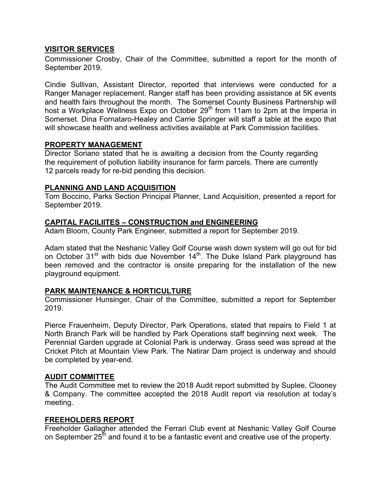## **VISITOR SERVICES**

Commissioner Crosby, Chair of the Committee, submitted a report for the month of September 2019.

Cindie Sullivan, Assistant Director, reported that interviews were conducted for a Ranger Manager replacement. Ranger staff has been providing assistance at 5K events and health fairs throughout the month. The Somerset County Business Partnership will host a Workplace Wellness Expo on October 29<sup>th</sup> from 11am to 2pm at the Imperia in Somerset. Dina Fornataro-Healey and Carrie Springer will staff a table at the expo that will showcase health and wellness activities available at Park Commission facilities.

#### **PROPERTY MANAGEMENT**

Director Soriano stated that he is awaiting a decision from the County regarding the requirement of pollution liability insurance for farm parcels. There are currently 12 parcels ready for re-bid pending this decision.

## **PLANNING AND LAND ACQUISITION**

Tom Boccino, Parks Section Principal Planner, Land Acquisition, presented a report for September 2019.

# **CAPITAL FACILIITES – CONSTRUCTION and ENGINEERING**

Adam Bloom, County Park Engineer, submitted a report for September 2019.

Adam stated that the Neshanic Valley Golf Course wash down system will go out for bid on October 31<sup>st</sup> with bids due November 14<sup>th</sup>. The Duke Island Park playground has been removed and the contractor is onsite preparing for the installation of the new playground equipment.

## **PARK MAINTENANCE & HORTICULTURE**

Commissioner Hunsinger, Chair of the Committee, submitted a report for September 2019.

Pierce Frauenheim, Deputy Director, Park Operations, stated that repairs to Field 1 at North Branch Park will be handled by Park Operations staff beginning next week. The Perennial Garden upgrade at Colonial Park is underway. Grass seed was spread at the Cricket Pitch at Mountain View Park. The Natirar Dam project is underway and should be completed by year-end.

## **AUDIT COMMITTEE**

The Audit Committee met to review the 2018 Audit report submitted by Suplee, Clooney & Company. The committee accepted the 2018 Audit report via resolution at today's meeting.

## **FREEHOLDERS REPORT**

Freeholder Gallagher attended the Ferrari Club event at Neshanic Valley Golf Course on September  $25<sup>th</sup>$  and found it to be a fantastic event and creative use of the property.